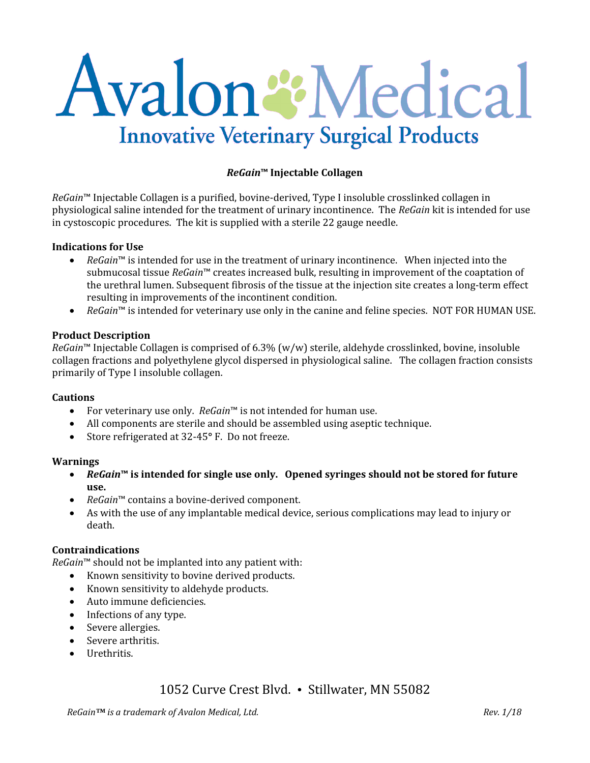# Avalon & Medical **Innovative Veterinary Surgical Products**

# *ReGain***™ Injectable Collagen**

*ReGain*™ Injectable Collagen is a purified, bovine-derived, Type I insoluble crosslinked collagen in physiological saline intended for the treatment of urinary incontinence. The *ReGain* kit is intended for use in cystoscopic procedures. The kit is supplied with a sterile 22 gauge needle.

#### **Indications for Use**

- *ReGain*™ is intended for use in the treatment of urinary incontinence. When injected into the submucosal tissue *ReGain*™ creates increased bulk, resulting in improvement of the coaptation of the urethral lumen. Subsequent fibrosis of the tissue at the injection site creates a long-term effect resulting in improvements of the incontinent condition.
- *ReGain*™ is intended for veterinary use only in the canine and feline species. NOT FOR HUMAN USE.

#### **Product Description**

*ReGain*™ Injectable Collagen is comprised of 6.3% (w/w) sterile, aldehyde crosslinked, bovine, insoluble collagen fractions and polyethylene glycol dispersed in physiological saline. The collagen fraction consists primarily of Type I insoluble collagen.

#### **Cautions**

- For veterinary use only. *ReGain*™ is not intended for human use.
- All components are sterile and should be assembled using aseptic technique.
- Store refrigerated at 32-45**°** F. Do not freeze.

#### **Warnings**

- *ReGain***™ is intended for single use only. Opened syringes should not be stored for future use.**
- *ReGain*™ contains a bovine-derived component.
- As with the use of any implantable medical device, serious complications may lead to injury or death.

#### **Contraindications**

*ReGain*™ should not be implanted into any patient with:

- Known sensitivity to bovine derived products.
- Known sensitivity to aldehyde products.
- Auto immune deficiencies.
- Infections of any type.
- Severe allergies.
- Severe arthritis.
- Urethritis.

# 1052 Curve Crest Blvd. • Stillwater, MN 55082